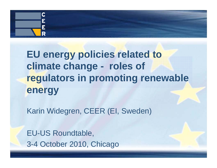

# EU energy policies related to **climate change - roles of regulators in promoting renewable energy**

Karin Widegren, CEER (EI, Sweden)

EU-US Roundtable, 3-4 October 2010, Chicago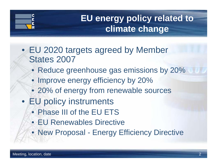# **EU energy policy related to climate change**

- EU 2020 targets agreed by Member States 2007
	- Reduce greenhouse gas emissions by 20%
	- Improve energy efficiency by 20%
	- 20% of energy from renewable sources
- EU policy instruments
	- Phase III of the EU ETS
	- EU Renewables Directive
	- New Proposal Energy Efficiency Directive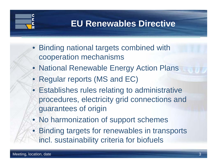## **EU Renewables Directive**

- Binding national targets combined with cooperation mechanisms
- National Renewable Energy Action Plans
- Regular reports (MS and EC)
- Establishes rules relating to administrative procedures, electricity grid connections and guarantees of origin
- No harmonization of support schemes
- Binding targets for renewables in transports incl. sustainability criteria for biofuels

C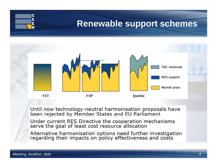### **Renewable support schemes**



Until now technology-neutral harmonisation proposals have<br>been rejected by Member States and EU Parliament

Under current RES Directive the cooperation mechanisms serve the goal of least cost resource allocation

Alternative harmonisation options need further investigation<br>regarding their impacts on policy effectiveness and costs

C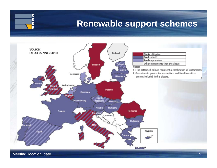

## **Renewable support schemes**

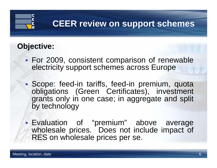# **CEER review on support schemes**

#### **Objective:**

- P) For 2009, consistent comparison of renewable electricity support schemes across Europe
- $\mathbb{R}^3$  Scope: feed-in tariffs, feed-in premium, quota obli gations (Green Certificates), investment grants only in one case; in aggregate and split by technology
- Evaluation of "premium" above average wholesale prices. Does not include impact of RES on wholesale prices per se.

P)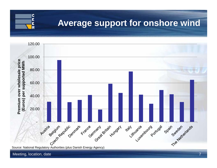#### **Average support for onshore wind**



Meeting, location, date

C Ė Ē R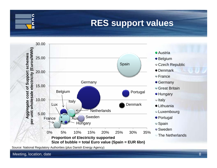### **RES support values**



Source: National Regulatory Authorities (plus Danish Energy Agency)

Meeting, location, date

C Ė Ē R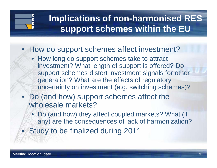# **Implications of non-harmonised RES support schemes within the EU**

#### • How do support schemes affect investment?

- How long do support schemes take to attract investment? What length of support is offered? Do support schemes distort investment signals for other generation? What are the effects of regulatory uncertainty on investment (e.g. switching schemes)?
- Do (and how) support schemes affect the wholesale markets?
	- Do (and how) they affect coupled markets? What (if any) are the consequences of lack of harmonization?
	- Study to be finalized during 2011

 $\bullet$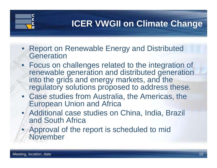## **ICER VWGII on Climate Change**

- Report on Renewable Energy and Distributed **Generation**
- Focus on challenges related to the integration of renewable generation and distributed generation into the grids and energy markets, and the regulatory solutions proposed to address these.
- Case studies from Australia, the Americas, the European Union and Africa
- Additional case studies on China, India, Brazil and South Africa
- Approval of the report is scheduled to mid November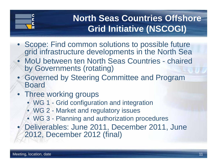# **North Seas Countries Offshore Grid Initiative (NSCOGI)**

- Scope: Find common solutions to possible future grid infrastructure developments in the North Sea
- MoU between ten North Seas Countries chaired by Governments (rotating)
- Governed by Steering Committee and Program Board
- Three working groups
	- WG 1 Grid configuration and integration
	- WG 2 Market and regulatory issues
	- WG 3 Planning and authorization procedures
- • Deliverables: June 2011, December 2011, June 2012, December 2012 (final)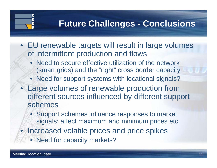## **Future Challenges - Conclusions**

- EU renewable targets will result in large volumes of intermittent production and flows
	- Need to secure effective utilization of the network (smart grids) and the "right" cross border capacity
	- Need for support systems with locational signals?
- $\bullet$  Large volumes of renewable production from different sources influenced by different support schemes
	- Support schemes influence responses to market signals: affect maximum and minimum prices etc.
	- Increased volatile prices and price spikes
		- Need for capacity markets?

 $\bullet$